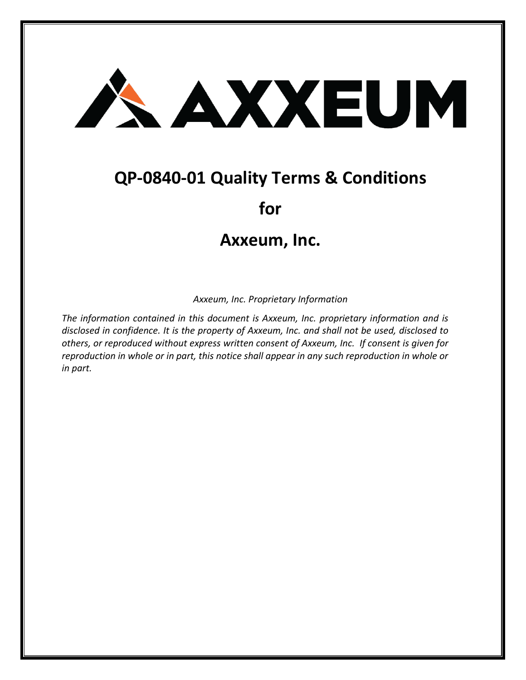

# **QP-0840-01 Quality Terms & Conditions**

# **for**

# **Axxeum, Inc.**

*Axxeum, Inc. Proprietary Information*

*The information contained in this document is Axxeum, Inc. proprietary information and is disclosed in confidence. It is the property of Axxeum, Inc. and shall not be used, disclosed to others, or reproduced without express written consent of Axxeum, Inc. If consent is given for reproduction in whole or in part, this notice shall appear in any such reproduction in whole or in part.*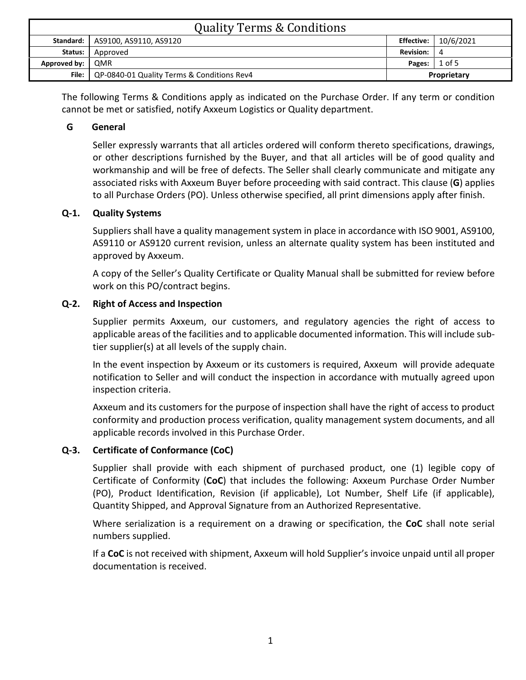| <b>Quality Terms &amp; Conditions</b> |                                                    |                  |           |
|---------------------------------------|----------------------------------------------------|------------------|-----------|
|                                       | Standard:   AS9100, AS9110, AS9120                 | Effective: I     | 10/6/2021 |
| Status:                               | Approved                                           | <b>Revision:</b> | -4        |
| Approved by:                          | l QMR                                              | Pages:           | $1$ of 5  |
|                                       | File:   QP-0840-01 Quality Terms & Conditions Rev4 | Proprietary      |           |

The following Terms & Conditions apply as indicated on the Purchase Order. If any term or condition cannot be met or satisfied, notify Axxeum Logistics or Quality department.

#### **G General**

Seller expressly warrants that all articles ordered will conform thereto specifications, drawings, or other descriptions furnished by the Buyer, and that all articles will be of good quality and workmanship and will be free of defects. The Seller shall clearly communicate and mitigate any associated risks with Axxeum Buyer before proceeding with said contract. This clause (**G**) applies to all Purchase Orders (PO). Unless otherwise specified, all print dimensions apply after finish.

#### **Q-1. Quality Systems**

Suppliers shall have a quality management system in place in accordance with ISO 9001, AS9100, AS9110 or AS9120 current revision, unless an alternate quality system has been instituted and approved by Axxeum.

A copy of the Seller's Quality Certificate or Quality Manual shall be submitted for review before work on this PO/contract begins.

#### **Q-2. Right of Access and Inspection**

Supplier permits Axxeum, our customers, and regulatory agencies the right of access to applicable areas of the facilities and to applicable documented information. This will include subtier supplier(s) at all levels of the supply chain.

In the event inspection by Axxeum or its customers is required, Axxeum will provide adequate notification to Seller and will conduct the inspection in accordance with mutually agreed upon inspection criteria.

Axxeum and its customers for the purpose of inspection shall have the right of access to product conformity and production process verification, quality management system documents, and all applicable records involved in this Purchase Order.

#### **Q-3. Certificate of Conformance (CoC)**

Supplier shall provide with each shipment of purchased product, one (1) legible copy of Certificate of Conformity (**CoC**) that includes the following: Axxeum Purchase Order Number (PO), Product Identification, Revision (if applicable), Lot Number, Shelf Life (if applicable), Quantity Shipped, and Approval Signature from an Authorized Representative.

Where serialization is a requirement on a drawing or specification, the **CoC** shall note serial numbers supplied.

If a **CoC** is not received with shipment, Axxeum will hold Supplier's invoice unpaid until all proper documentation is received.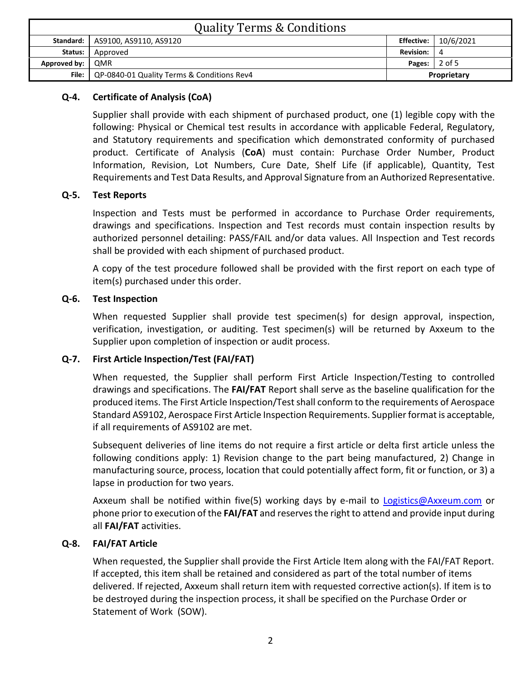| <b>Quality Terms &amp; Conditions</b> |                                            |                   |           |
|---------------------------------------|--------------------------------------------|-------------------|-----------|
| Standard:                             | AS9100, AS9110, AS9120                     | <b>Effective:</b> | 10/6/2021 |
| Status:                               | Approved                                   | <b>Revision:</b>  | 4         |
| Approved by:                          | <b>QMR</b>                                 | Pages:            | 2 of 5    |
| File: I                               | QP-0840-01 Quality Terms & Conditions Rev4 | Proprietary       |           |

# **Q-4. Certificate of Analysis (CoA)**

Supplier shall provide with each shipment of purchased product, one (1) legible copy with the following: Physical or Chemical test results in accordance with applicable Federal, Regulatory, and Statutory requirements and specification which demonstrated conformity of purchased product. Certificate of Analysis (**CoA**) must contain: Purchase Order Number, Product Information, Revision, Lot Numbers, Cure Date, Shelf Life (if applicable), Quantity, Test Requirements and Test Data Results, and Approval Signature from an Authorized Representative.

# **Q-5. Test Reports**

Inspection and Tests must be performed in accordance to Purchase Order requirements, drawings and specifications. Inspection and Test records must contain inspection results by authorized personnel detailing: PASS/FAIL and/or data values. All Inspection and Test records shall be provided with each shipment of purchased product.

A copy of the test procedure followed shall be provided with the first report on each type of item(s) purchased under this order.

# **Q-6. Test Inspection**

When requested Supplier shall provide test specimen(s) for design approval, inspection, verification, investigation, or auditing. Test specimen(s) will be returned by Axxeum to the Supplier upon completion of inspection or audit process.

# **Q-7. First Article Inspection/Test (FAI/FAT)**

When requested, the Supplier shall perform First Article Inspection/Testing to controlled drawings and specifications. The **FAI/FAT** Report shall serve as the baseline qualification for the produced items. The First Article Inspection/Test shall conform to the requirements of Aerospace Standard AS9102, Aerospace First Article Inspection Requirements. Supplier format is acceptable, if all requirements of AS9102 are met.

Subsequent deliveries of line items do not require a first article or delta first article unless the following conditions apply: 1) Revision change to the part being manufactured, 2) Change in manufacturing source, process, location that could potentially affect form, fit or function, or 3) a lapse in production for two years.

Axxeum shall be notified within five(5) working days by e-mail to [Logistics@Axxeum.com](mailto:Logistics@Axxeum.com) or phone prior to execution of the **FAI/FAT** and reserves the right to attend and provide input during all **FAI/FAT** activities.

# **Q-8. FAI/FAT Article**

When requested, the Supplier shall provide the First Article Item along with the FAI/FAT Report. If accepted, this item shall be retained and considered as part of the total number of items delivered. If rejected, Axxeum shall return item with requested corrective action(s). If item is to be destroyed during the inspection process, it shall be specified on the Purchase Order or Statement of Work (SOW).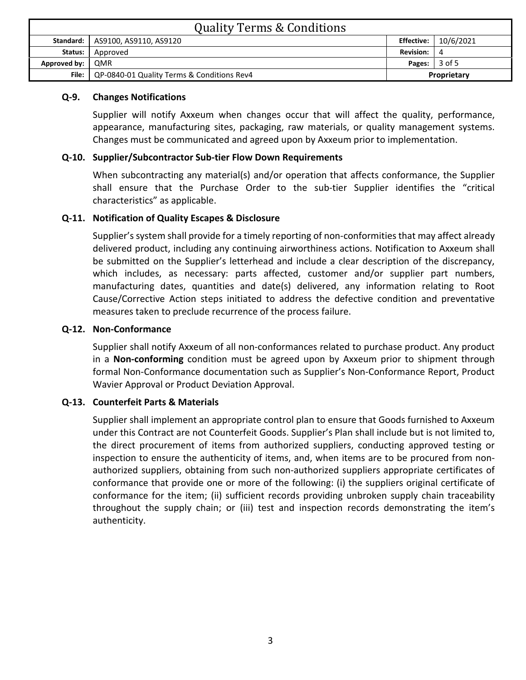| <b>Quality Terms &amp; Conditions</b> |                                            |                   |           |
|---------------------------------------|--------------------------------------------|-------------------|-----------|
| Standard:                             | AS9100, AS9110, AS9120                     | <b>Effective:</b> | 10/6/2021 |
| Status:                               | Approved                                   | <b>Revision:</b>  | 4         |
| Approved by:                          | <b>QMR</b>                                 | Pages:            | 3 of 5    |
| File: I                               | QP-0840-01 Quality Terms & Conditions Rev4 | Proprietary       |           |

#### **Q-9. Changes Notifications**

Supplier will notify Axxeum when changes occur that will affect the quality, performance, appearance, manufacturing sites, packaging, raw materials, or quality management systems. Changes must be communicated and agreed upon by Axxeum prior to implementation.

#### **Q-10. Supplier/Subcontractor Sub-tier Flow Down Requirements**

When subcontracting any material(s) and/or operation that affects conformance, the Supplier shall ensure that the Purchase Order to the sub-tier Supplier identifies the "critical characteristics" as applicable.

# **Q-11. Notification of Quality Escapes & Disclosure**

Supplier's system shall provide for a timely reporting of non-conformities that may affect already delivered product, including any continuing airworthiness actions. Notification to Axxeum shall be submitted on the Supplier's letterhead and include a clear description of the discrepancy, which includes, as necessary: parts affected, customer and/or supplier part numbers, manufacturing dates, quantities and date(s) delivered, any information relating to Root Cause/Corrective Action steps initiated to address the defective condition and preventative measures taken to preclude recurrence of the process failure.

#### **Q-12. Non-Conformance**

Supplier shall notify Axxeum of all non-conformances related to purchase product. Any product in a **Non-conforming** condition must be agreed upon by Axxeum prior to shipment through formal Non-Conformance documentation such as Supplier's Non-Conformance Report, Product Wavier Approval or Product Deviation Approval.

# **Q-13. Counterfeit Parts & Materials**

Supplier shall implement an appropriate control plan to ensure that Goods furnished to Axxeum under this Contract are not Counterfeit Goods. Supplier's Plan shall include but is not limited to, the direct procurement of items from authorized suppliers, conducting approved testing or inspection to ensure the authenticity of items, and, when items are to be procured from nonauthorized suppliers, obtaining from such non-authorized suppliers appropriate certificates of conformance that provide one or more of the following: (i) the suppliers original certificate of conformance for the item; (ii) sufficient records providing unbroken supply chain traceability throughout the supply chain; or (iii) test and inspection records demonstrating the item's authenticity.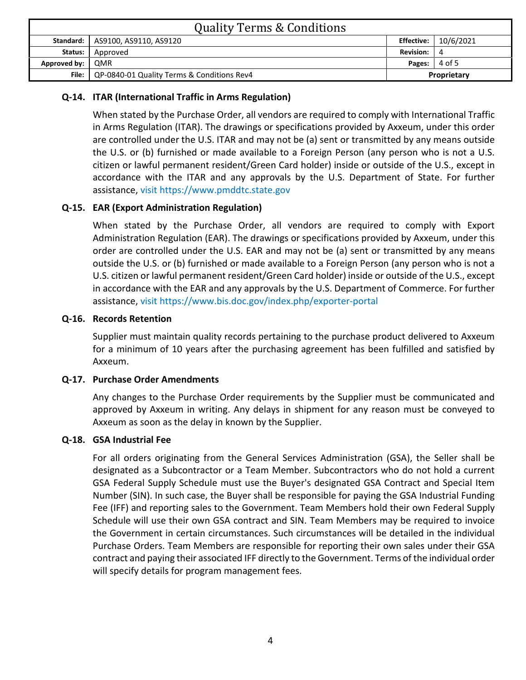| <b>Quality Terms &amp; Conditions</b> |                                                    |                   |           |
|---------------------------------------|----------------------------------------------------|-------------------|-----------|
|                                       | Standard:   AS9100, AS9110, AS9120                 | <b>Effective:</b> | 10/6/2021 |
| Status:                               | Approved                                           | <b>Revision:</b>  | 4         |
| Approved by:                          | QMR                                                | Pages:            | 4 of 5    |
|                                       | File:   QP-0840-01 Quality Terms & Conditions Rev4 | Proprietary       |           |

# **Q-14. ITAR (International Traffic in Arms Regulation)**

When stated by the Purchase Order, all vendors are required to comply with International Traffic in Arms Regulation (ITAR). The drawings or specifications provided by Axxeum, under this order are controlled under the U.S. ITAR and may not be (a) sent or transmitted by any means outside the U.S. or (b) furnished or made available to a Foreign Person (any person who is not a U.S. citizen or lawful permanent resident/Green Card holder) inside or outside of the U.S., except in accordance with the ITAR and any approvals by the U.S. Department of State. For further assistance, visit https://www.pmddtc.state.gov

# **Q-15. EAR (Export Administration Regulation)**

When stated by the Purchase Order, all vendors are required to comply with Export Administration Regulation (EAR). The drawings or specifications provided by Axxeum, under this order are controlled under the U.S. EAR and may not be (a) sent or transmitted by any means outside the U.S. or (b) furnished or made available to a Foreign Person (any person who is not a U.S. citizen or lawful permanent resident/Green Card holder) inside or outside of the U.S., except in accordance with the EAR and any approvals by the U.S. Department of Commerce. For further assistance, visit https://www.bis.doc.gov/index.php/exporter-portal

#### **Q-16. Records Retention**

Supplier must maintain quality records pertaining to the purchase product delivered to Axxeum for a minimum of 10 years after the purchasing agreement has been fulfilled and satisfied by Axxeum.

#### **Q-17. Purchase Order Amendments**

Any changes to the Purchase Order requirements by the Supplier must be communicated and approved by Axxeum in writing. Any delays in shipment for any reason must be conveyed to Axxeum as soon as the delay in known by the Supplier.

#### **Q-18. GSA Industrial Fee**

For all orders originating from the General Services Administration (GSA), the Seller shall be designated as a Subcontractor or a Team Member. Subcontractors who do not hold a current GSA Federal Supply Schedule must use the Buyer's designated GSA Contract and Special Item Number (SIN). In such case, the Buyer shall be responsible for paying the GSA Industrial Funding Fee (IFF) and reporting sales to the Government. Team Members hold their own Federal Supply Schedule will use their own GSA contract and SIN. Team Members may be required to invoice the Government in certain circumstances. Such circumstances will be detailed in the individual Purchase Orders. Team Members are responsible for reporting their own sales under their GSA contract and paying their associated IFF directly to the Government. Terms of the individual order will specify details for program management fees.